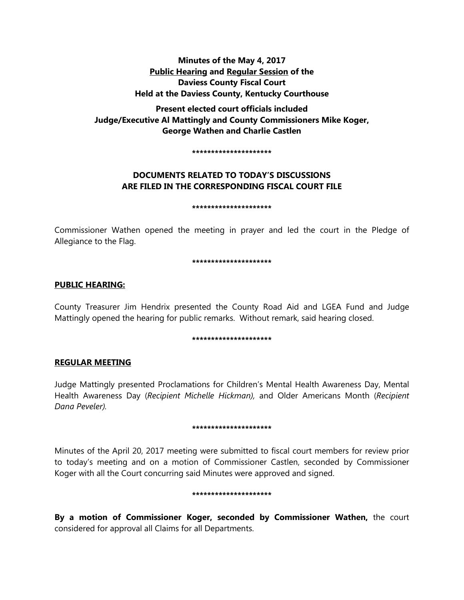# **Minutes of the May 4, 2017 Public Hearing and Regular Session of the Daviess County Fiscal Court Held at the Daviess County, Kentucky Courthouse**

**Present elected court officials included Judge/Executive Al Mattingly and County Commissioners Mike Koger, George Wathen and Charlie Castlen** 

**\*\*\*\*\*\*\*\*\*\*\*\*\*\*\*\*\*\*\*\*\***

# **DOCUMENTS RELATED TO TODAY'S DISCUSSIONS ARE FILED IN THE CORRESPONDING FISCAL COURT FILE**

#### **\*\*\*\*\*\*\*\*\*\*\*\*\*\*\*\*\*\*\*\*\***

Commissioner Wathen opened the meeting in prayer and led the court in the Pledge of Allegiance to the Flag.

#### **\*\*\*\*\*\*\*\*\*\*\*\*\*\*\*\*\*\*\*\*\***

## **PUBLIC HEARING:**

County Treasurer Jim Hendrix presented the County Road Aid and LGEA Fund and Judge Mattingly opened the hearing for public remarks. Without remark, said hearing closed.

#### **\*\*\*\*\*\*\*\*\*\*\*\*\*\*\*\*\*\*\*\*\***

# **REGULAR MEETING**

Judge Mattingly presented Proclamations for Children's Mental Health Awareness Day, Mental Health Awareness Day (*Recipient Michelle Hickman),* and Older Americans Month (*Recipient Dana Peveler).*

#### **\*\*\*\*\*\*\*\*\*\*\*\*\*\*\*\*\*\*\*\*\***

Minutes of the April 20, 2017 meeting were submitted to fiscal court members for review prior to today's meeting and on a motion of Commissioner Castlen, seconded by Commissioner Koger with all the Court concurring said Minutes were approved and signed.

#### **\*\*\*\*\*\*\*\*\*\*\*\*\*\*\*\*\*\*\*\*\***

**By a motion of Commissioner Koger, seconded by Commissioner Wathen,** the court considered for approval all Claims for all Departments.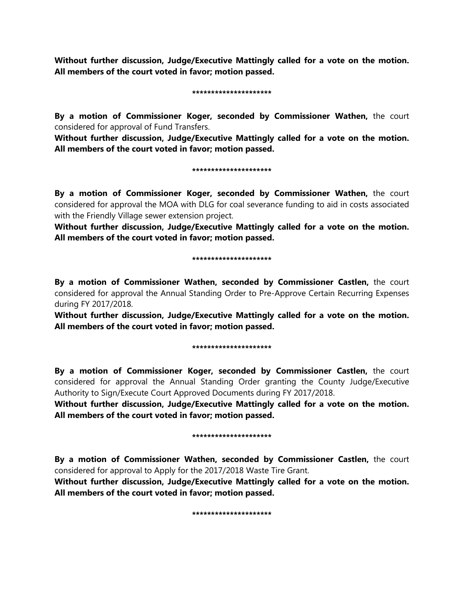**Without further discussion, Judge/Executive Mattingly called for a vote on the motion. All members of the court voted in favor; motion passed.** 

#### **\*\*\*\*\*\*\*\*\*\*\*\*\*\*\*\*\*\*\*\*\***

**By a motion of Commissioner Koger, seconded by Commissioner Wathen,** the court considered for approval of Fund Transfers.

**Without further discussion, Judge/Executive Mattingly called for a vote on the motion. All members of the court voted in favor; motion passed.** 

#### **\*\*\*\*\*\*\*\*\*\*\*\*\*\*\*\*\*\*\*\*\***

**By a motion of Commissioner Koger, seconded by Commissioner Wathen,** the court considered for approval the MOA with DLG for coal severance funding to aid in costs associated with the Friendly Village sewer extension project.

**Without further discussion, Judge/Executive Mattingly called for a vote on the motion. All members of the court voted in favor; motion passed.** 

#### **\*\*\*\*\*\*\*\*\*\*\*\*\*\*\*\*\*\*\*\*\***

**By a motion of Commissioner Wathen, seconded by Commissioner Castlen,** the court considered for approval the Annual Standing Order to Pre-Approve Certain Recurring Expenses during FY 2017/2018.

**Without further discussion, Judge/Executive Mattingly called for a vote on the motion. All members of the court voted in favor; motion passed.** 

#### **\*\*\*\*\*\*\*\*\*\*\*\*\*\*\*\*\*\*\*\*\***

**By a motion of Commissioner Koger, seconded by Commissioner Castlen,** the court considered for approval the Annual Standing Order granting the County Judge/Executive Authority to Sign/Execute Court Approved Documents during FY 2017/2018.

**Without further discussion, Judge/Executive Mattingly called for a vote on the motion. All members of the court voted in favor; motion passed.** 

#### **\*\*\*\*\*\*\*\*\*\*\*\*\*\*\*\*\*\*\*\*\***

**By a motion of Commissioner Wathen, seconded by Commissioner Castlen,** the court considered for approval to Apply for the 2017/2018 Waste Tire Grant.

**Without further discussion, Judge/Executive Mattingly called for a vote on the motion. All members of the court voted in favor; motion passed.** 

#### **\*\*\*\*\*\*\*\*\*\*\*\*\*\*\*\*\*\*\*\*\***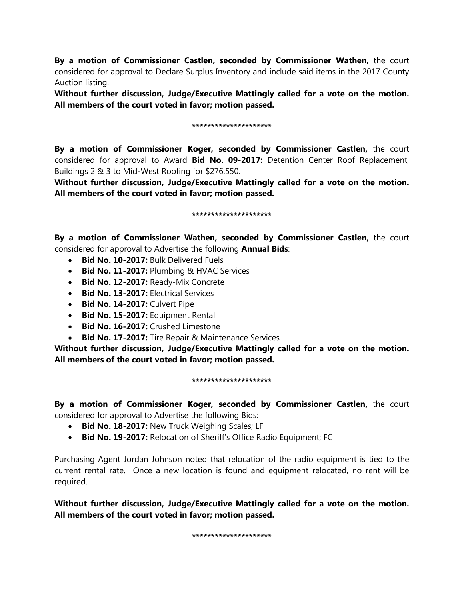**By a motion of Commissioner Castlen, seconded by Commissioner Wathen,** the court considered for approval to Declare Surplus Inventory and include said items in the 2017 County Auction listing.

**Without further discussion, Judge/Executive Mattingly called for a vote on the motion. All members of the court voted in favor; motion passed.** 

### **\*\*\*\*\*\*\*\*\*\*\*\*\*\*\*\*\*\*\*\*\***

**By a motion of Commissioner Koger, seconded by Commissioner Castlen,** the court considered for approval to Award **Bid No. 09-2017:** Detention Center Roof Replacement, Buildings 2 & 3 to Mid-West Roofing for \$276,550.

**Without further discussion, Judge/Executive Mattingly called for a vote on the motion. All members of the court voted in favor; motion passed.** 

### **\*\*\*\*\*\*\*\*\*\*\*\*\*\*\*\*\*\*\*\*\***

**By a motion of Commissioner Wathen, seconded by Commissioner Castlen,** the court considered for approval to Advertise the following **Annual Bids**:

- **Bid No. 10-2017:** Bulk Delivered Fuels
- **Bid No. 11-2017:** Plumbing & HVAC Services
- **Bid No. 12-2017:** Ready-Mix Concrete
- **Bid No. 13-2017:** Electrical Services
- **Bid No. 14-2017:** Culvert Pipe
- **Bid No. 15-2017:** Equipment Rental
- **Bid No. 16-2017:** Crushed Limestone
- **Bid No. 17-2017:** Tire Repair & Maintenance Services

**Without further discussion, Judge/Executive Mattingly called for a vote on the motion. All members of the court voted in favor; motion passed.** 

### **\*\*\*\*\*\*\*\*\*\*\*\*\*\*\*\*\*\*\*\*\***

**By a motion of Commissioner Koger, seconded by Commissioner Castlen,** the court considered for approval to Advertise the following Bids:

- **Bid No. 18-2017:** New Truck Weighing Scales; LF
- **Bid No. 19-2017:** Relocation of Sheriff's Office Radio Equipment; FC

Purchasing Agent Jordan Johnson noted that relocation of the radio equipment is tied to the current rental rate. Once a new location is found and equipment relocated, no rent will be required.

**Without further discussion, Judge/Executive Mattingly called for a vote on the motion. All members of the court voted in favor; motion passed.** 

**\*\*\*\*\*\*\*\*\*\*\*\*\*\*\*\*\*\*\*\*\***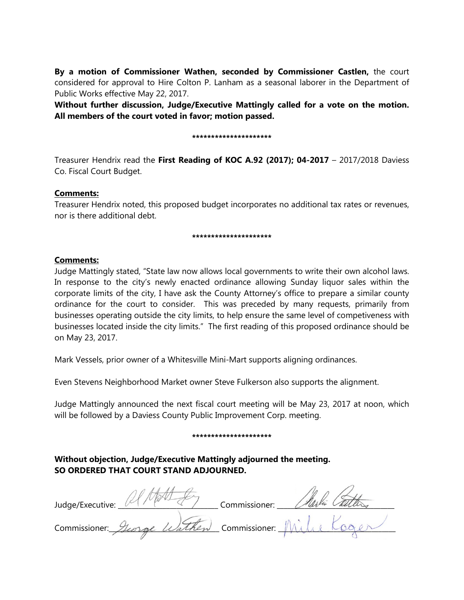**By a motion of Commissioner Wathen, seconded by Commissioner Castlen,** the court considered for approval to Hire Colton P. Lanham as a seasonal laborer in the Department of Public Works effective May 22, 2017.

**Without further discussion, Judge/Executive Mattingly called for a vote on the motion. All members of the court voted in favor; motion passed.** 

#### **\*\*\*\*\*\*\*\*\*\*\*\*\*\*\*\*\*\*\*\*\***

Treasurer Hendrix read the **First Reading of KOC A.92 (2017); 04-2017** – 2017/2018 Daviess Co. Fiscal Court Budget.

## **Comments:**

Treasurer Hendrix noted, this proposed budget incorporates no additional tax rates or revenues, nor is there additional debt.

#### **\*\*\*\*\*\*\*\*\*\*\*\*\*\*\*\*\*\*\*\*\***

## **Comments:**

Judge Mattingly stated, "State law now allows local governments to write their own alcohol laws. In response to the city's newly enacted ordinance allowing Sunday liquor sales within the corporate limits of the city, I have ask the County Attorney's office to prepare a similar county ordinance for the court to consider. This was preceded by many requests, primarily from businesses operating outside the city limits, to help ensure the same level of competiveness with businesses located inside the city limits." The first reading of this proposed ordinance should be on May 23, 2017.

Mark Vessels, prior owner of a Whitesville Mini-Mart supports aligning ordinances.

Even Stevens Neighborhood Market owner Steve Fulkerson also supports the alignment.

Judge Mattingly announced the next fiscal court meeting will be May 23, 2017 at noon, which will be followed by a Daviess County Public Improvement Corp. meeting.

#### **\*\*\*\*\*\*\*\*\*\*\*\*\*\*\*\*\*\*\*\*\***

# **Without objection, Judge/Executive Mattingly adjourned the meeting. SO ORDERED THAT COURT STAND ADJOURNED.**

Judge/Executive: Ulman Fry Commissioner: Nach Can Commissioner: Storge Wathen Commissioner: Mi